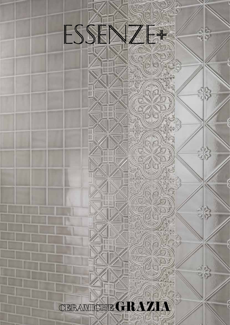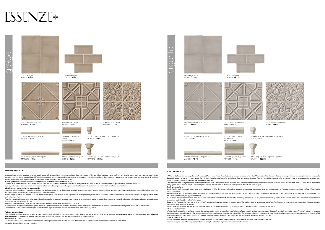## **SMALTI CRAQUELE'**

Le piastrelle con smalto craquelé ed anche quelle con smalti che cavillano, opportunamente studiate per dare un effetto anticato o particolarmente profondo allo smalto, hanno delle incrinature che col tempo possono assorbire acqua e macchiarsi. Al fine di evitare questo lento processo di deterioramento è necessario trattare le piastrelle con impregnante. Il trattamento con impregnante permette anche di facilitare notevolmente il processo di pulizia dopo la stuccatura di piastrelle con rilievi molto accentuati.

**Si consiglia di effettuare il trattamento delle piastrelle craquelè prima della stuccatura.**

Versare l'impregnante in una piccola bacinella abbastanza larga da permettere al rullo o al pennello di immergersi completamente. Il pennello o il rullo devono essere completamente saturi di impregnante quando usati sulle piastrelle.

La trama dello smalto craquelè varia da produzione a produzione ed anche all'interno dello stesso lotto produttivo e varia anche tra fondi ed accessori quali: Bordure, Terminali, Finali ecc... Questa particolarità è dovuta a fenomeni meccanici e fisici che intervengono durante il processo di raffreddamento e al diverso spessore dello smalto sui pezzi a rilievo.

Pennellare o rullare l'impregnante sulla superficie delle piastrelle. Le piastrelle smaltate assorbiranno diversamente da quelle porose e l'impregnante si spargerà sulla superficie. In tal modo sarà assorbito dove è necessario ed il restante verrà tolto.

**Istruzioni per il trattamento con impregnante.** 

Lavare bene le piastrelle ed , in modo particolare, se già installate da tempo. Rimuovere accuratamente sporco, detriti, grasso e qualsiasi altra sostanza che possa interferire con la possibilità di penetrazione dell'impregnante. Attendere la completa essiccazione delle piastrelle.

Sulle piastrelle smaltate, sporcizia e macchie sono in genere molto più facili da pulire che sulle superfici di ceramica non smaltata. Le piastrelle smaltate devono essere pulite regolarmente con un prodotto di **pulizia multiuso a base neutra**. Evitare soluzioni acide o basiche che potrebbero danneggiare lo smalto o scolorire la fuga. **VARIAZIONI DI TONO**

While most glazed tiles are fairly stainproof, crackled tiles or crazed tiles--tiles designed to have an antiqued or "cracked" finish to the tiles--have cracks that go straight through the glaze, leaving the porous clay body below open to stains. You should seal them to keep them from deteriorating completely. Also, some highly textured tiles may benefit from sealing prior to being grouted, to help release the grout for easy *cleanup. It is suggested to seal crackle tiles before grouting.*

Pennellare o rullare l'impregnante dall'alto verso il basso della parete in modo da evitare sgocciolature.

Wash the tiles well, particularly if they have been installed for a while. Remove any dirt, debris, grease or other substances that can interfere with the ability of the sealer to penetrate the tile surface. Allow the tile *to dry completely.*

In questo modo la superficie apparirà bagnata e quindi si potranno individuare eventuali porzioni di parete non trattate e provvedere al ritocco. Attendere che l'impregnante agisca per10 minuti circa. Utilizzando un panno assorbente asciugare completamente le piastrelle assicurandosi che non restino residui sulla superficie

Pour the sealer out into a paint tray or wide-mouthed dish large enough to dip the roller or brush into. Dip the roller or brush into the sealant and allow it to absorb as much as possible; the brush or roller should *be fully saturated when you apply it to the tiles.*

Brush or roll the sealer across the surface of the tiles. Glazed tiles will not absorb the sealer the same way that porous tiles will, and the sealer will spread over the surface. This is fine; the sealer will be absorbed *where it is needed and the rest will wipe away.*

## **Pulizia e Manutenzione**

Brush or roll the sealer from the top or back of the tile installation forward and down to prevent drips. The sealer will go on and appear wet; check for dry spots to ensure even coverage.Allow the sealer to sit on *the tiles for approximately 10 minutes.*

Le variazioni di tono sono una caratteristica naturale di tutti I prodotti ceramici. A volte una certa differenza di tono è riscontrabile anche nello stesso lotto di produzione. La tonalità dei campioni è sempre indicativa.

Contaminants and spills on a glazed ceramic tile are, generally, easier to clean than most other unglazed ceramic and porcelain surfaces. Glazed tile products should be cleaned routinely with an all-purpose, *household or commercial cleaner. The product chosen should also be grout joint cleaning compatible. The type of product may vary depending on the tile application and use. A multipurpose spray cleaner, which removes soap scum, hard water deposits, and mildew designed for everyday use, can be used on wall tile areas in residential baths and showers. SHADE VARIATION*



H 5x3 Ang. Est. Par. Bordura L. Greige Cr. BOA012 - **105** PZ.

> *The crackle texture changes from production to production even within their dye lots, between plain tiles and their accessory pieces like Bordure, Terminali, Finali, Cornici and Angoli. This is due to mechanical and physical phenomena during the tile cooling process and the difference in thickness of the glaze on the different relief shapes. Sealing Instructions*

*Wipe the excess sealer off the tiles with an absorbent cloth. Buff the tiles completely dry to ensure no sticky residue or buildup remains on the glaze. Care and maintenance*

Shade variation is a natural factor in all fired ceramic products. In fact, certain tiles will show a certain amount variation even within their dye lots. *There is always a small difference in shade between samples taken from a previous production and the current one.* 





13x13 Greige Cr. ES012 - **127** MQ.







13x13 Milano Greige Cr. MILA3 - **133** MQ.

13x13 Algarve Greige Cr. ALGA3 - **133** MQ.

1,2x26 Coprispigolo Greige Cr. COP120 - **34** PZ.



2x26 Matita Capitello Greige Cr. MATC012 - **19** PZ.





CAP012 - **45** PZ.

7,5x3 Ang. Est. Par. Capitello Greige Cr. CAAP012 - **105** PZ.

## ESSENZF+





ES011 - **127** MQ.







13x13 Anversa Argento Cr. ANV11 - **130** MQ.

13x13 Milano Argento Cr. MILA5 - **133** MQ.



13x13 Algarve Argento Cr. ALGA5 - **133** MQ.



1,2x26 Coprispigolo Argento Cr. COP110 - **34** PZ. 5x13 Bordura Lineare Argento Cr. BOR011 - **55** PZ. 2x26 Matita Capitello Argento Cr. 7,5x13 Capitello Argento Cr. 5x3 Ang. Est. Par. Bordura L. Argento Cr. BOA011 - **105** PZ.



MATC011 - **19** PZ.

CAP011 - **45** PZ.

7,5x3 Ang. Est. Par. Capitello Argento Cr. CAAP011 - **105** PZ.